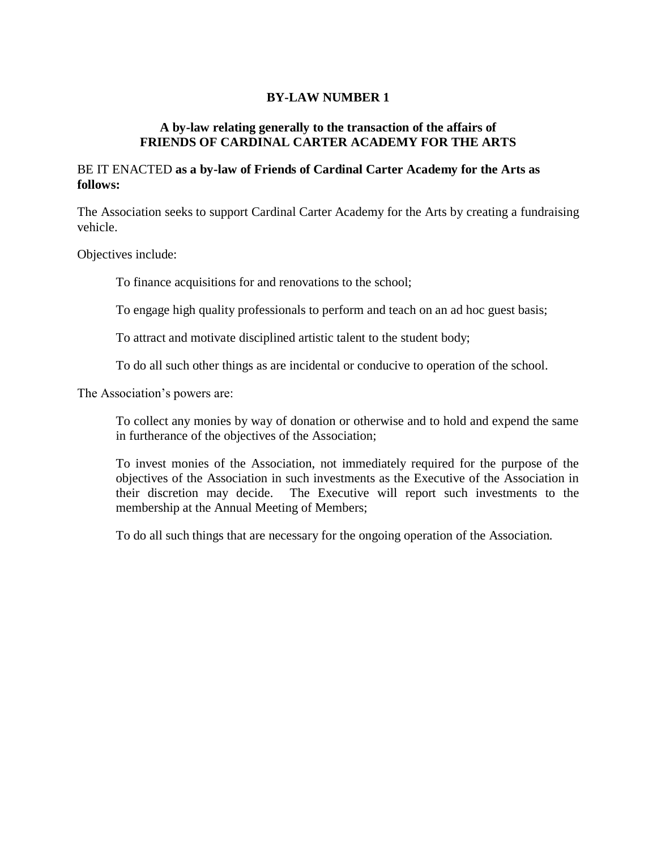# **BY-LAW NUMBER 1**

### **A by-law relating generally to the transaction of the affairs of FRIENDS OF CARDINAL CARTER ACADEMY FOR THE ARTS**

### BE IT ENACTED **as a by-law of Friends of Cardinal Carter Academy for the Arts as follows:**

The Association seeks to support Cardinal Carter Academy for the Arts by creating a fundraising vehicle.

Objectives include:

To finance acquisitions for and renovations to the school;

To engage high quality professionals to perform and teach on an ad hoc guest basis;

To attract and motivate disciplined artistic talent to the student body;

To do all such other things as are incidental or conducive to operation of the school.

The Association's powers are:

To collect any monies by way of donation or otherwise and to hold and expend the same in furtherance of the objectives of the Association;

To invest monies of the Association, not immediately required for the purpose of the objectives of the Association in such investments as the Executive of the Association in their discretion may decide. The Executive will report such investments to the membership at the Annual Meeting of Members;

To do all such things that are necessary for the ongoing operation of the Association.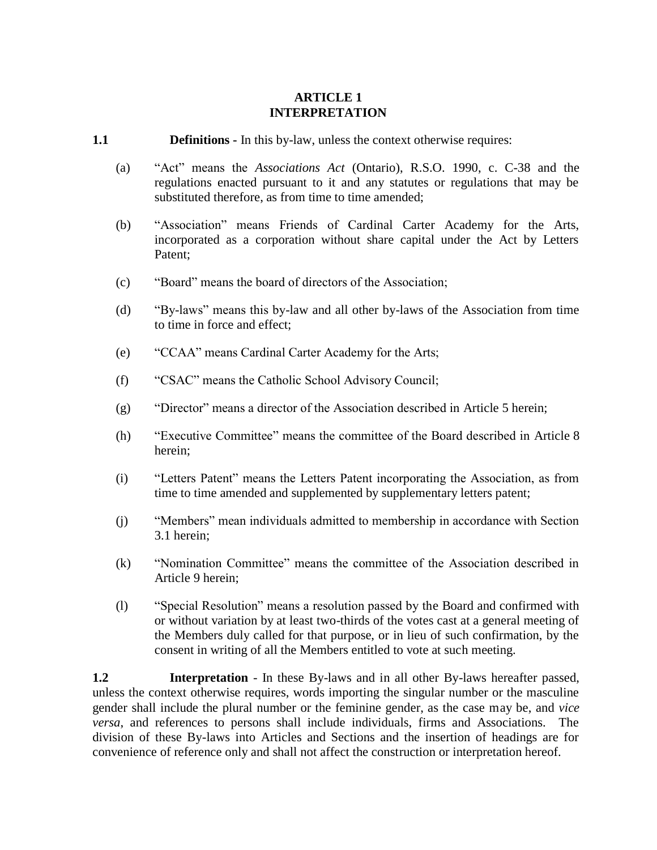# **ARTICLE 1 INTERPRETATION**

#### **1.1 Definitions -** In this by-law, unless the context otherwise requires:

- (a) "Act" means the *Associations Act* (Ontario), R.S.O. 1990, c. C-38 and the regulations enacted pursuant to it and any statutes or regulations that may be substituted therefore, as from time to time amended;
- (b) "Association" means Friends of Cardinal Carter Academy for the Arts, incorporated as a corporation without share capital under the Act by Letters Patent;
- (c) "Board" means the board of directors of the Association;
- (d) "By-laws" means this by-law and all other by-laws of the Association from time to time in force and effect;
- (e) "CCAA" means Cardinal Carter Academy for the Arts;
- (f) "CSAC" means the Catholic School Advisory Council;
- (g) "Director" means a director of the Association described in [Article](#page-8-0) 5 herein;
- (h) "Executive Committee" means the committee of the Board described in [Article](#page-14-0) 8 herein;
- (i) "Letters Patent" means the Letters Patent incorporating the Association, as from time to time amended and supplemented by supplementary letters patent;
- (j) "Members" mean individuals admitted to membership in accordance with Section 3.1 herein;
- (k) "Nomination Committee" means the committee of the Association described in [Article](#page-15-0) 9 herein;
- (l) "Special Resolution" means a resolution passed by the Board and confirmed with or without variation by at least two-thirds of the votes cast at a general meeting of the Members duly called for that purpose, or in lieu of such confirmation, by the consent in writing of all the Members entitled to vote at such meeting.

**1.2 Interpretation** - In these By-laws and in all other By-laws hereafter passed, unless the context otherwise requires, words importing the singular number or the masculine gender shall include the plural number or the feminine gender, as the case may be, and *vice versa*, and references to persons shall include individuals, firms and Associations. The division of these By-laws into Articles and Sections and the insertion of headings are for convenience of reference only and shall not affect the construction or interpretation hereof.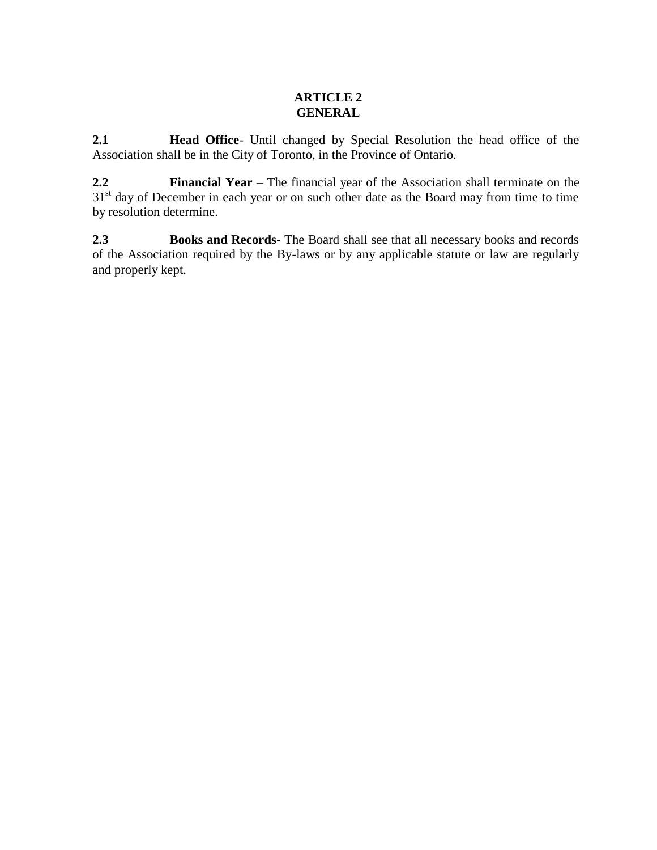# **ARTICLE 2 GENERAL**

**2.1 Head Office**- Until changed by Special Resolution the head office of the Association shall be in the City of Toronto, in the Province of Ontario.

**2.2 Financial Year** – The financial year of the Association shall terminate on the 31<sup>st</sup> day of December in each year or on such other date as the Board may from time to time by resolution determine.

**2.3 Books and Records**- The Board shall see that all necessary books and records of the Association required by the By-laws or by any applicable statute or law are regularly and properly kept.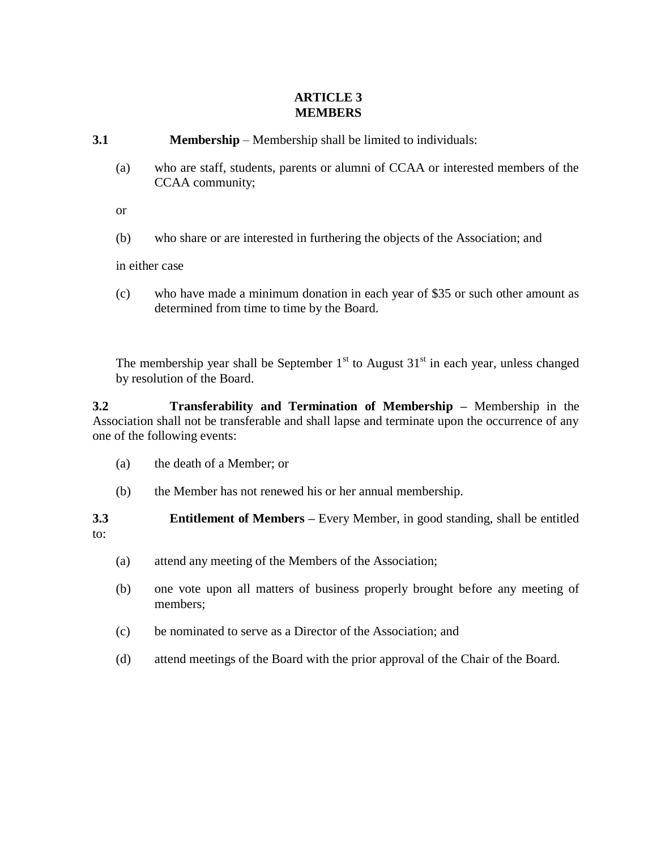# **ARTICLE 3 MEMBERS**

- **3.1 Membership** Membership shall be limited to individuals:
	- (a) who are staff, students, parents or alumni of CCAA or interested members of the CCAA community;

or

(b) who share or are interested in furthering the objects of the Association; and

in either case

(c) who have made a minimum donation in each year of \$35 or such other amount as determined from time to time by the Board.

The membership year shall be September  $1<sup>st</sup>$  to August  $31<sup>st</sup>$  in each year, unless changed by resolution of the Board.

**3.2 Transferability and Termination of Membership –** Membership in the Association shall not be transferable and shall lapse and terminate upon the occurrence of any one of the following events:

- (a) the death of a Member; or
- (b) the Member has not renewed his or her annual membership.

**3.3 Entitlement of Members –** Every Member, in good standing, shall be entitled to:

- (a) attend any meeting of the Members of the Association;
- (b) one vote upon all matters of business properly brought before any meeting of members;
- (c) be nominated to serve as a Director of the Association; and
- (d) attend meetings of the Board with the prior approval of the Chair of the Board.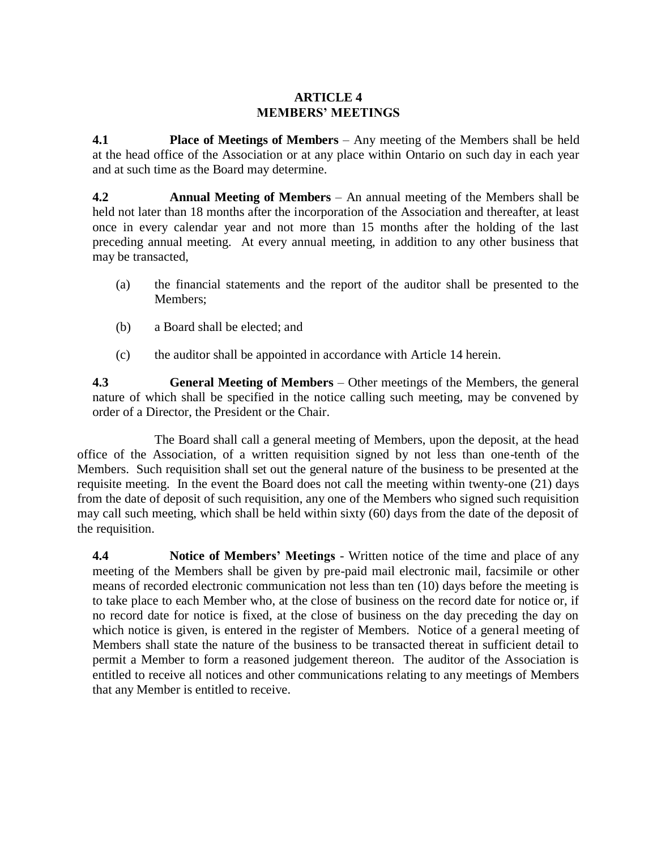### **ARTICLE 4 MEMBERS' MEETINGS**

**4.1 Place of Meetings of Members** – Any meeting of the Members shall be held at the head office of the Association or at any place within Ontario on such day in each year and at such time as the Board may determine.

**4.2 Annual Meeting of Members** – An annual meeting of the Members shall be held not later than 18 months after the incorporation of the Association and thereafter, at least once in every calendar year and not more than 15 months after the holding of the last preceding annual meeting. At every annual meeting, in addition to any other business that may be transacted,

- (a) the financial statements and the report of the auditor shall be presented to the Members;
- (b) a Board shall be elected; and
- (c) the auditor shall be appointed in accordance with [Article](#page-22-0) 14 herein.

**4.3 General Meeting of Members** – Other meetings of the Members, the general nature of which shall be specified in the notice calling such meeting, may be convened by order of a Director, the President or the Chair.

The Board shall call a general meeting of Members, upon the deposit, at the head office of the Association, of a written requisition signed by not less than one-tenth of the Members. Such requisition shall set out the general nature of the business to be presented at the requisite meeting. In the event the Board does not call the meeting within twenty-one (21) days from the date of deposit of such requisition, any one of the Members who signed such requisition may call such meeting, which shall be held within sixty (60) days from the date of the deposit of the requisition.

**4.4 Notice of Members' Meetings** - Written notice of the time and place of any meeting of the Members shall be given by pre-paid mail electronic mail, facsimile or other means of recorded electronic communication not less than ten (10) days before the meeting is to take place to each Member who, at the close of business on the record date for notice or, if no record date for notice is fixed, at the close of business on the day preceding the day on which notice is given, is entered in the register of Members. Notice of a general meeting of Members shall state the nature of the business to be transacted thereat in sufficient detail to permit a Member to form a reasoned judgement thereon. The auditor of the Association is entitled to receive all notices and other communications relating to any meetings of Members that any Member is entitled to receive.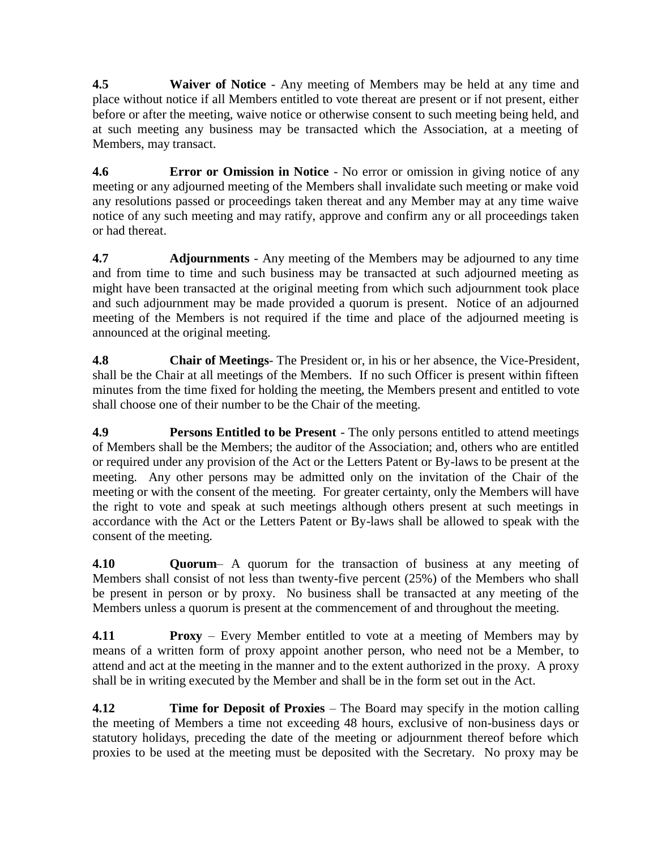**4.5 Waiver of Notice** - Any meeting of Members may be held at any time and place without notice if all Members entitled to vote thereat are present or if not present, either before or after the meeting, waive notice or otherwise consent to such meeting being held, and at such meeting any business may be transacted which the Association, at a meeting of Members, may transact.

**4.6 Error or Omission in Notice** - No error or omission in giving notice of any meeting or any adjourned meeting of the Members shall invalidate such meeting or make void any resolutions passed or proceedings taken thereat and any Member may at any time waive notice of any such meeting and may ratify, approve and confirm any or all proceedings taken or had thereat.

**4.7 Adjournments** - Any meeting of the Members may be adjourned to any time and from time to time and such business may be transacted at such adjourned meeting as might have been transacted at the original meeting from which such adjournment took place and such adjournment may be made provided a quorum is present. Notice of an adjourned meeting of the Members is not required if the time and place of the adjourned meeting is announced at the original meeting.

**4.8 Chair of Meetings**- The President or, in his or her absence, the Vice-President, shall be the Chair at all meetings of the Members. If no such Officer is present within fifteen minutes from the time fixed for holding the meeting, the Members present and entitled to vote shall choose one of their number to be the Chair of the meeting.

**4.9 Persons Entitled to be Present** - The only persons entitled to attend meetings of Members shall be the Members; the auditor of the Association; and, others who are entitled or required under any provision of the Act or the Letters Patent or By-laws to be present at the meeting. Any other persons may be admitted only on the invitation of the Chair of the meeting or with the consent of the meeting. For greater certainty, only the Members will have the right to vote and speak at such meetings although others present at such meetings in accordance with the Act or the Letters Patent or By-laws shall be allowed to speak with the consent of the meeting.

**4.10 Quorum**– A quorum for the transaction of business at any meeting of Members shall consist of not less than twenty-five percent (25%) of the Members who shall be present in person or by proxy. No business shall be transacted at any meeting of the Members unless a quorum is present at the commencement of and throughout the meeting.

**4.11 Proxy** – Every Member entitled to vote at a meeting of Members may by means of a written form of proxy appoint another person, who need not be a Member, to attend and act at the meeting in the manner and to the extent authorized in the proxy. A proxy shall be in writing executed by the Member and shall be in the form set out in the Act.

**4.12 Time for Deposit of Proxies** – The Board may specify in the motion calling the meeting of Members a time not exceeding 48 hours, exclusive of non-business days or statutory holidays, preceding the date of the meeting or adjournment thereof before which proxies to be used at the meeting must be deposited with the Secretary. No proxy may be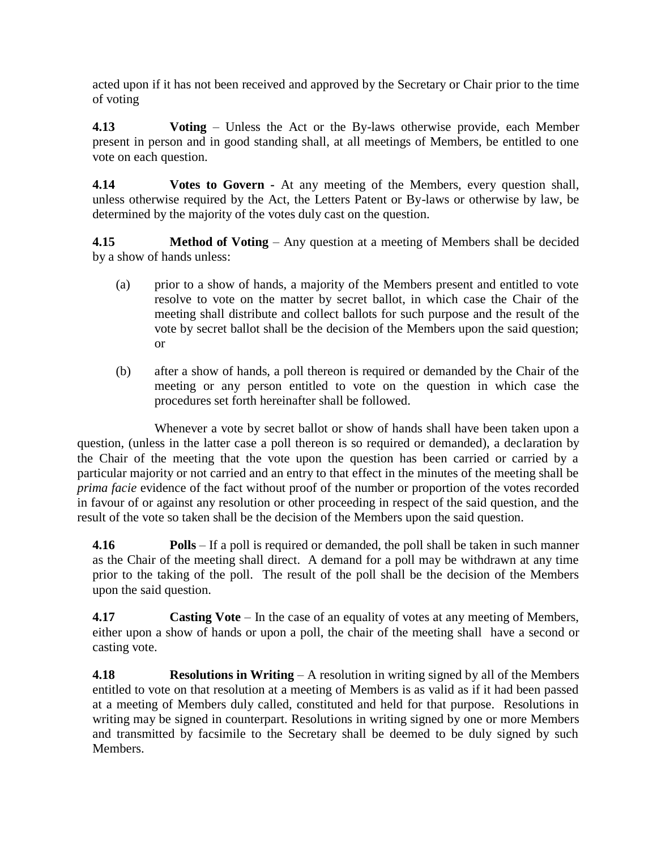acted upon if it has not been received and approved by the Secretary or Chair prior to the time of voting

**4.13 Voting** – Unless the Act or the By-laws otherwise provide, each Member present in person and in good standing shall, at all meetings of Members, be entitled to one vote on each question.

**4.14 Votes to Govern -** At any meeting of the Members, every question shall, unless otherwise required by the Act, the Letters Patent or By-laws or otherwise by law, be determined by the majority of the votes duly cast on the question.

**4.15 Method of Voting** – Any question at a meeting of Members shall be decided by a show of hands unless:

- (a) prior to a show of hands, a majority of the Members present and entitled to vote resolve to vote on the matter by secret ballot, in which case the Chair of the meeting shall distribute and collect ballots for such purpose and the result of the vote by secret ballot shall be the decision of the Members upon the said question; or
- (b) after a show of hands, a poll thereon is required or demanded by the Chair of the meeting or any person entitled to vote on the question in which case the procedures set forth hereinafter shall be followed.

Whenever a vote by secret ballot or show of hands shall have been taken upon a question, (unless in the latter case a poll thereon is so required or demanded), a declaration by the Chair of the meeting that the vote upon the question has been carried or carried by a particular majority or not carried and an entry to that effect in the minutes of the meeting shall be *prima facie* evidence of the fact without proof of the number or proportion of the votes recorded in favour of or against any resolution or other proceeding in respect of the said question, and the result of the vote so taken shall be the decision of the Members upon the said question.

**4.16 Polls** – If a poll is required or demanded, the poll shall be taken in such manner as the Chair of the meeting shall direct. A demand for a poll may be withdrawn at any time prior to the taking of the poll. The result of the poll shall be the decision of the Members upon the said question.

**4.17 Casting Vote** – In the case of an equality of votes at any meeting of Members, either upon a show of hands or upon a poll, the chair of the meeting shall have a second or casting vote.

**4.18 Resolutions in Writing** – A resolution in writing signed by all of the Members entitled to vote on that resolution at a meeting of Members is as valid as if it had been passed at a meeting of Members duly called, constituted and held for that purpose. Resolutions in writing may be signed in counterpart. Resolutions in writing signed by one or more Members and transmitted by facsimile to the Secretary shall be deemed to be duly signed by such Members.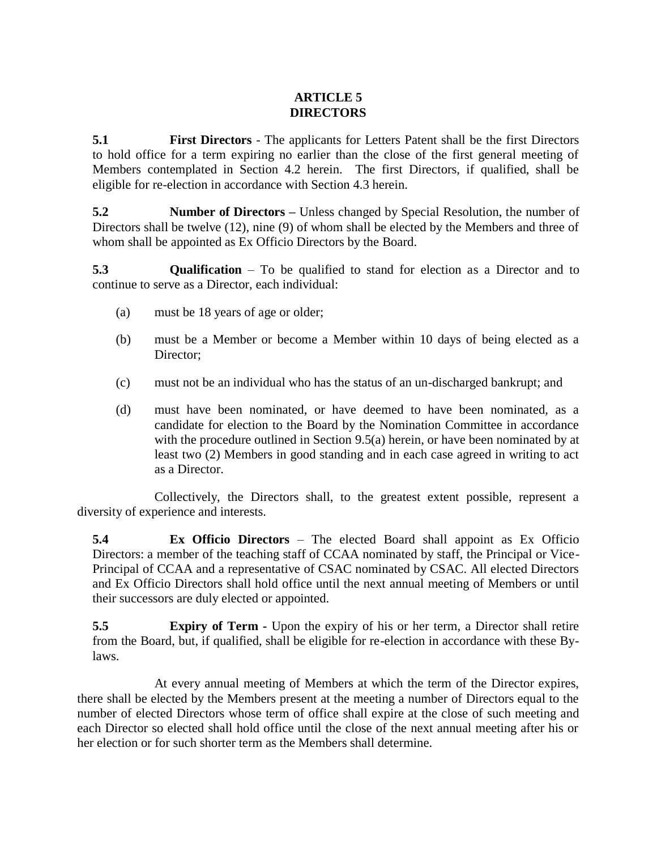# **ARTICLE 5 DIRECTORS**

<span id="page-8-0"></span>**5.1 First Directors** - The applicants for Letters Patent shall be the first Directors to hold office for a term expiring no earlier than the close of the first general meeting of Members contemplated in Section 4.2 herein. The first Directors, if qualified, shall be eligible for re-election in accordance with Section 4.3 herein.

**5.2 Number of Directors** – Unless changed by Special Resolution, the number of Directors shall be twelve (12), nine (9) of whom shall be elected by the Members and three of whom shall be appointed as Ex Officio Directors by the Board.

<span id="page-8-1"></span>**5.3 Qualification** – To be qualified to stand for election as a Director and to continue to serve as a Director, each individual:

- (a) must be 18 years of age or older;
- (b) must be a Member or become a Member within 10 days of being elected as a Director;
- (c) must not be an individual who has the status of an un-discharged bankrupt; and
- (d) must have been nominated, or have deemed to have been nominated, as a candidate for election to the Board by the Nomination Committee in accordance with the procedure outlined in Section [9.5\(a\)](#page-15-1) herein, or have been nominated by at least two (2) Members in good standing and in each case agreed in writing to act as a Director.

Collectively, the Directors shall, to the greatest extent possible, represent a diversity of experience and interests.

**5.4 Ex Officio Directors** – The elected Board shall appoint as Ex Officio Directors: a member of the teaching staff of CCAA nominated by staff, the Principal or Vice-Principal of CCAA and a representative of CSAC nominated by CSAC. All elected Directors and Ex Officio Directors shall hold office until the next annual meeting of Members or until their successors are duly elected or appointed.

**5.5 Expiry of Term -** Upon the expiry of his or her term, a Director shall retire from the Board, but, if qualified, shall be eligible for re-election in accordance with these Bylaws.

At every annual meeting of Members at which the term of the Director expires, there shall be elected by the Members present at the meeting a number of Directors equal to the number of elected Directors whose term of office shall expire at the close of such meeting and each Director so elected shall hold office until the close of the next annual meeting after his or her election or for such shorter term as the Members shall determine.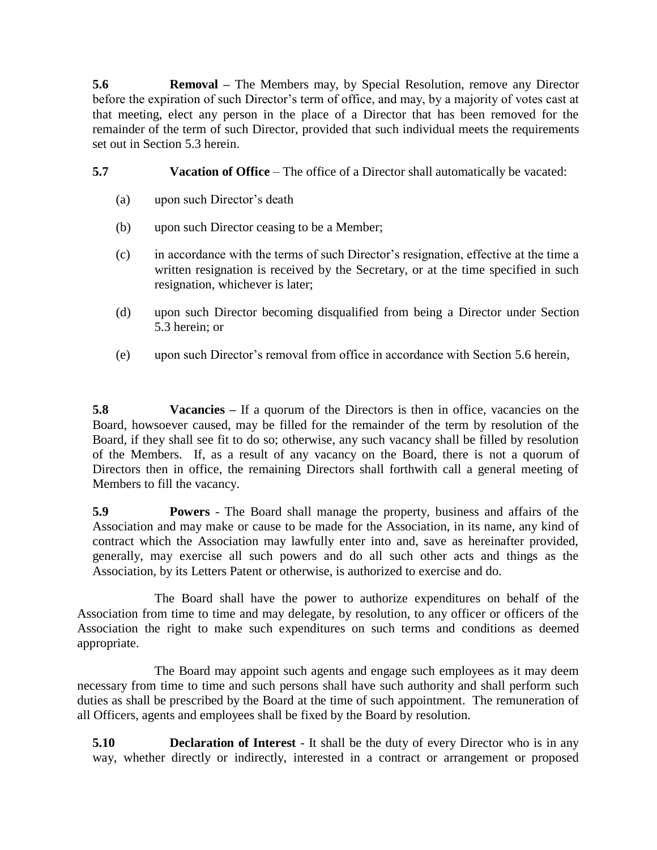<span id="page-9-0"></span>**5.6 Removal –** The Members may, by Special Resolution, remove any Director before the expiration of such Director's term of office, and may, by a majority of votes cast at that meeting, elect any person in the place of a Director that has been removed for the remainder of the term of such Director, provided that such individual meets the requirements set out in Section [5.3](#page-8-1) herein.

**5.7 Vacation of Office** – The office of a Director shall automatically be vacated:

- (a) upon such Director's death
- (b) upon such Director ceasing to be a Member;
- (c) in accordance with the terms of such Director's resignation, effective at the time a written resignation is received by the Secretary, or at the time specified in such resignation, whichever is later;
- (d) upon such Director becoming disqualified from being a Director under Section [5.3](#page-8-1) herein; or
- (e) upon such Director's removal from office in accordance with Section [5.6](#page-9-0) herein,

**5.8 Vacancies –** If a quorum of the Directors is then in office, vacancies on the Board, howsoever caused, may be filled for the remainder of the term by resolution of the Board, if they shall see fit to do so; otherwise, any such vacancy shall be filled by resolution of the Members. If, as a result of any vacancy on the Board, there is not a quorum of Directors then in office, the remaining Directors shall forthwith call a general meeting of Members to fill the vacancy.

**5.9 Powers** - The Board shall manage the property, business and affairs of the Association and may make or cause to be made for the Association, in its name, any kind of contract which the Association may lawfully enter into and, save as hereinafter provided, generally, may exercise all such powers and do all such other acts and things as the Association, by its Letters Patent or otherwise, is authorized to exercise and do.

The Board shall have the power to authorize expenditures on behalf of the Association from time to time and may delegate, by resolution, to any officer or officers of the Association the right to make such expenditures on such terms and conditions as deemed appropriate.

The Board may appoint such agents and engage such employees as it may deem necessary from time to time and such persons shall have such authority and shall perform such duties as shall be prescribed by the Board at the time of such appointment. The remuneration of all Officers, agents and employees shall be fixed by the Board by resolution.

**5.10 Declaration of Interest** - It shall be the duty of every Director who is in any way, whether directly or indirectly, interested in a contract or arrangement or proposed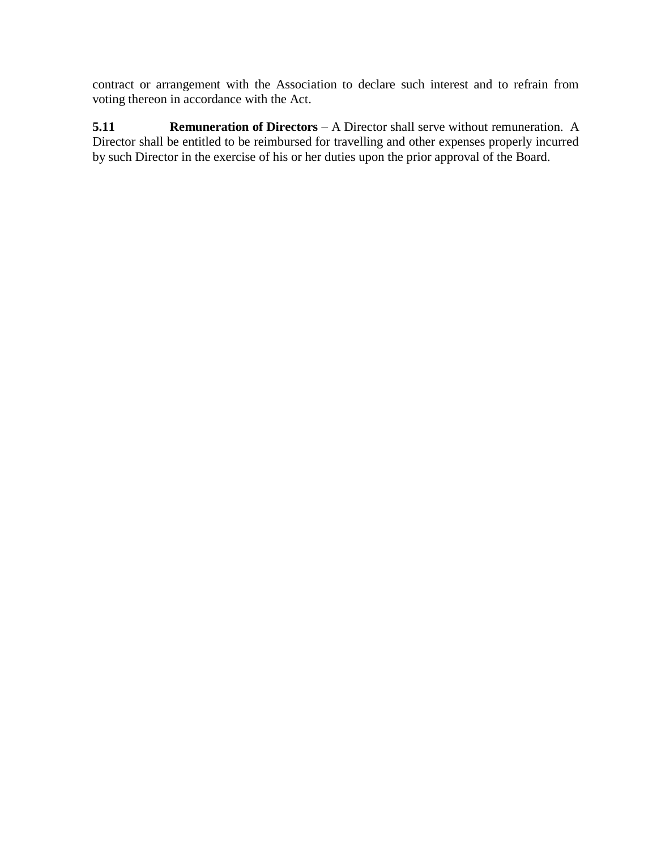contract or arrangement with the Association to declare such interest and to refrain from voting thereon in accordance with the Act.

**5.11 Remuneration of Directors** – A Director shall serve without remuneration. A Director shall be entitled to be reimbursed for travelling and other expenses properly incurred by such Director in the exercise of his or her duties upon the prior approval of the Board.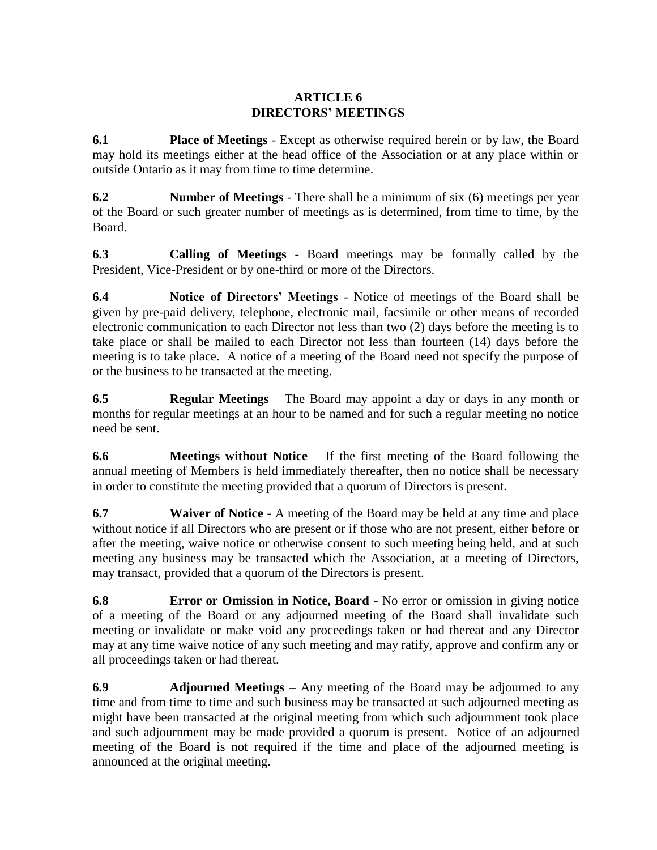### **ARTICLE 6 DIRECTORS' MEETINGS**

**6.1 Place of Meetings** - Except as otherwise required herein or by law, the Board may hold its meetings either at the head office of the Association or at any place within or outside Ontario as it may from time to time determine.

**6.2 Number of Meetings** - There shall be a minimum of six (6) meetings per year of the Board or such greater number of meetings as is determined, from time to time, by the Board.

**6.3 Calling of Meetings** - Board meetings may be formally called by the President, Vice-President or by one-third or more of the Directors.

**6.4 Notice of Directors' Meetings** - Notice of meetings of the Board shall be given by pre-paid delivery, telephone, electronic mail, facsimile or other means of recorded electronic communication to each Director not less than two (2) days before the meeting is to take place or shall be mailed to each Director not less than fourteen (14) days before the meeting is to take place. A notice of a meeting of the Board need not specify the purpose of or the business to be transacted at the meeting.

**6.5 Regular Meetings** – The Board may appoint a day or days in any month or months for regular meetings at an hour to be named and for such a regular meeting no notice need be sent.

**6.6 Meetings without Notice** – If the first meeting of the Board following the annual meeting of Members is held immediately thereafter, then no notice shall be necessary in order to constitute the meeting provided that a quorum of Directors is present.

**6.7 Waiver of Notice -** A meeting of the Board may be held at any time and place without notice if all Directors who are present or if those who are not present, either before or after the meeting, waive notice or otherwise consent to such meeting being held, and at such meeting any business may be transacted which the Association, at a meeting of Directors, may transact, provided that a quorum of the Directors is present.

**6.8 Error or Omission in Notice, Board** - No error or omission in giving notice of a meeting of the Board or any adjourned meeting of the Board shall invalidate such meeting or invalidate or make void any proceedings taken or had thereat and any Director may at any time waive notice of any such meeting and may ratify, approve and confirm any or all proceedings taken or had thereat.

**6.9 Adjourned Meetings** – Any meeting of the Board may be adjourned to any time and from time to time and such business may be transacted at such adjourned meeting as might have been transacted at the original meeting from which such adjournment took place and such adjournment may be made provided a quorum is present. Notice of an adjourned meeting of the Board is not required if the time and place of the adjourned meeting is announced at the original meeting.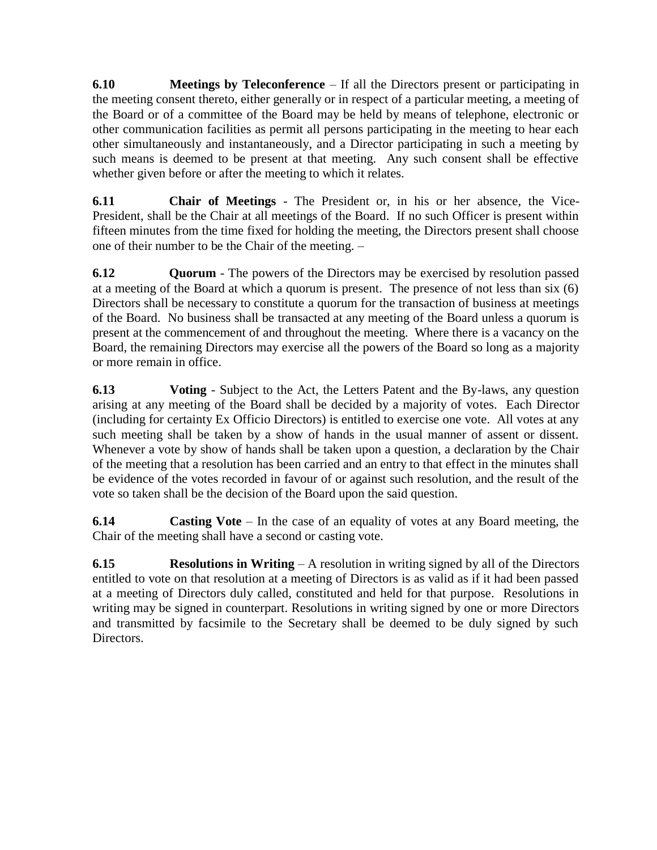**6.10 Meetings by Teleconference** – If all the Directors present or participating in the meeting consent thereto, either generally or in respect of a particular meeting, a meeting of the Board or of a committee of the Board may be held by means of telephone, electronic or other communication facilities as permit all persons participating in the meeting to hear each other simultaneously and instantaneously, and a Director participating in such a meeting by such means is deemed to be present at that meeting. Any such consent shall be effective whether given before or after the meeting to which it relates.

**6.11 Chair of Meetings** - The President or, in his or her absence, the Vice-President, shall be the Chair at all meetings of the Board. If no such Officer is present within fifteen minutes from the time fixed for holding the meeting, the Directors present shall choose one of their number to be the Chair of the meeting. –

**6.12 Quorum** - The powers of the Directors may be exercised by resolution passed at a meeting of the Board at which a quorum is present. The presence of not less than six (6) Directors shall be necessary to constitute a quorum for the transaction of business at meetings of the Board. No business shall be transacted at any meeting of the Board unless a quorum is present at the commencement of and throughout the meeting. Where there is a vacancy on the Board, the remaining Directors may exercise all the powers of the Board so long as a majority or more remain in office.

**6.13 Voting** - Subject to the Act, the Letters Patent and the By-laws, any question arising at any meeting of the Board shall be decided by a majority of votes. Each Director (including for certainty Ex Officio Directors) is entitled to exercise one vote. All votes at any such meeting shall be taken by a show of hands in the usual manner of assent or dissent. Whenever a vote by show of hands shall be taken upon a question, a declaration by the Chair of the meeting that a resolution has been carried and an entry to that effect in the minutes shall be evidence of the votes recorded in favour of or against such resolution, and the result of the vote so taken shall be the decision of the Board upon the said question.

**6.14 Casting Vote** – In the case of an equality of votes at any Board meeting, the Chair of the meeting shall have a second or casting vote.

**6.15 Resolutions in Writing** – A resolution in writing signed by all of the Directors entitled to vote on that resolution at a meeting of Directors is as valid as if it had been passed at a meeting of Directors duly called, constituted and held for that purpose. Resolutions in writing may be signed in counterpart. Resolutions in writing signed by one or more Directors and transmitted by facsimile to the Secretary shall be deemed to be duly signed by such Directors.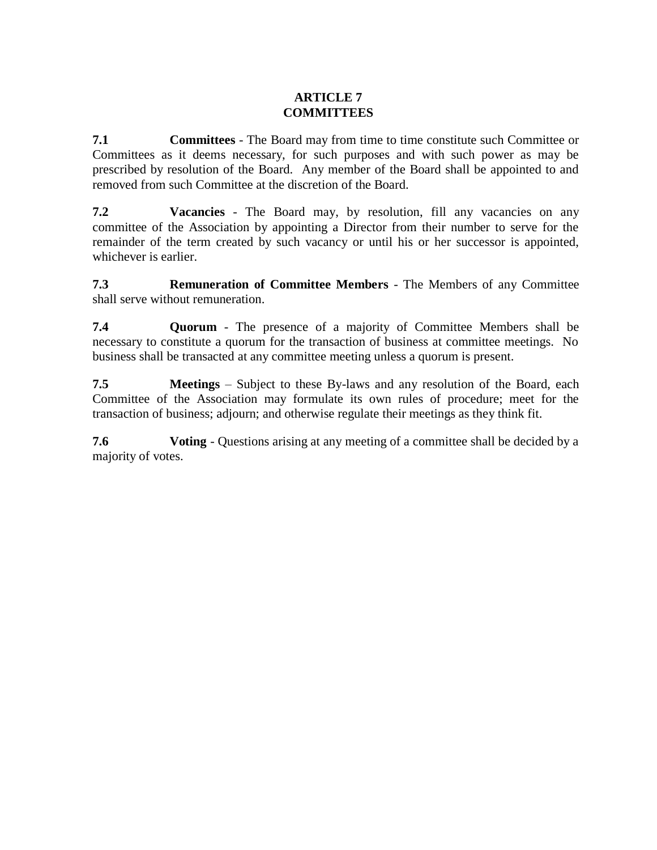# **ARTICLE 7 COMMITTEES**

**7.1 Committees** - The Board may from time to time constitute such Committee or Committees as it deems necessary, for such purposes and with such power as may be prescribed by resolution of the Board. Any member of the Board shall be appointed to and removed from such Committee at the discretion of the Board.

**7.2 Vacancies** - The Board may, by resolution, fill any vacancies on any committee of the Association by appointing a Director from their number to serve for the remainder of the term created by such vacancy or until his or her successor is appointed, whichever is earlier.

**7.3 Remuneration of Committee Members** - The Members of any Committee shall serve without remuneration.

**7.4 Quorum** - The presence of a majority of Committee Members shall be necessary to constitute a quorum for the transaction of business at committee meetings. No business shall be transacted at any committee meeting unless a quorum is present.

**7.5 Meetings** – Subject to these By-laws and any resolution of the Board, each Committee of the Association may formulate its own rules of procedure; meet for the transaction of business; adjourn; and otherwise regulate their meetings as they think fit.

**7.6 Voting** - Questions arising at any meeting of a committee shall be decided by a majority of votes.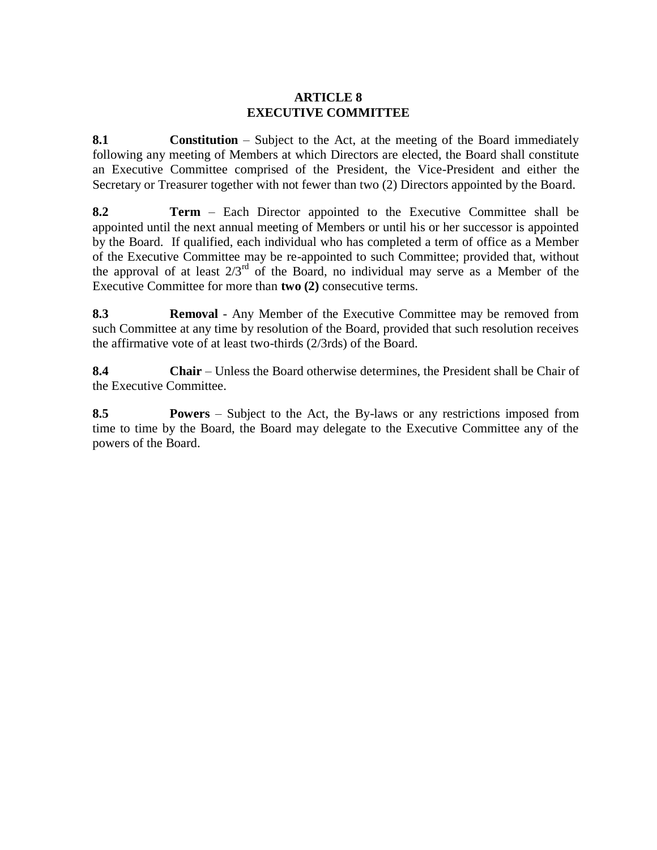### **ARTICLE 8 EXECUTIVE COMMITTEE**

<span id="page-14-0"></span>**8.1 Constitution** – Subject to the Act, at the meeting of the Board immediately following any meeting of Members at which Directors are elected, the Board shall constitute an Executive Committee comprised of the President, the Vice-President and either the Secretary or Treasurer together with not fewer than two (2) Directors appointed by the Board.

**8.2 Term** – Each Director appointed to the Executive Committee shall be appointed until the next annual meeting of Members or until his or her successor is appointed by the Board. If qualified, each individual who has completed a term of office as a Member of the Executive Committee may be re-appointed to such Committee; provided that, without the approval of at least  $2/3^{rd}$  of the Board, no individual may serve as a Member of the Executive Committee for more than **two (2)** consecutive terms.

**8.3 Removal** - Any Member of the Executive Committee may be removed from such Committee at any time by resolution of the Board, provided that such resolution receives the affirmative vote of at least two-thirds (2/3rds) of the Board.

**8.4 Chair** – Unless the Board otherwise determines, the President shall be Chair of the Executive Committee.

**8.5 Powers** – Subject to the Act, the By-laws or any restrictions imposed from time to time by the Board, the Board may delegate to the Executive Committee any of the powers of the Board.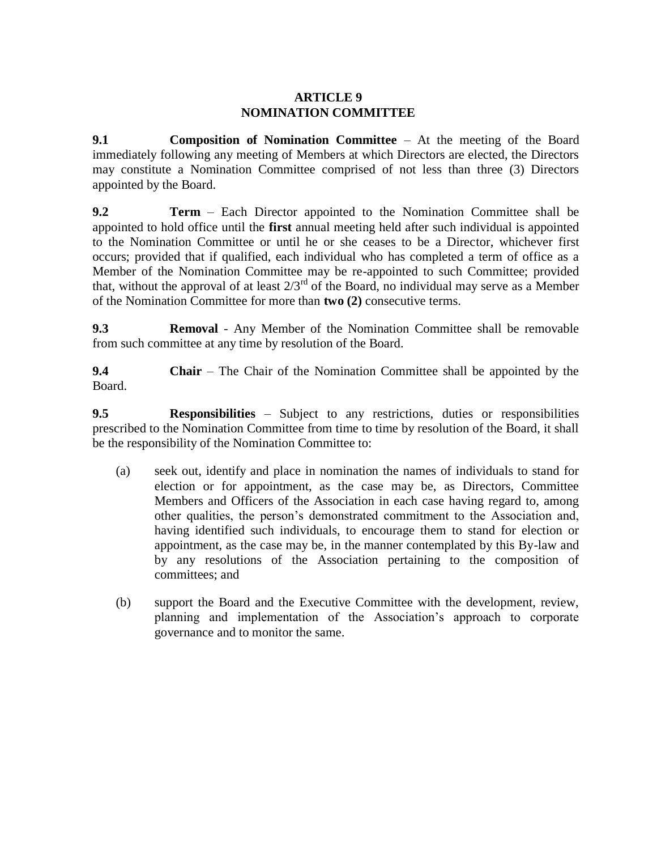### **ARTICLE 9 NOMINATION COMMITTEE**

<span id="page-15-0"></span>**9.1 Composition of Nomination Committee** – At the meeting of the Board immediately following any meeting of Members at which Directors are elected, the Directors may constitute a Nomination Committee comprised of not less than three (3) Directors appointed by the Board.

**9.2 Term** – Each Director appointed to the Nomination Committee shall be appointed to hold office until the **first** annual meeting held after such individual is appointed to the Nomination Committee or until he or she ceases to be a Director, whichever first occurs; provided that if qualified, each individual who has completed a term of office as a Member of the Nomination Committee may be re-appointed to such Committee; provided that, without the approval of at least  $2/3^{rd}$  of the Board, no individual may serve as a Member of the Nomination Committee for more than **two (2)** consecutive terms.

**9.3 Removal** - Any Member of the Nomination Committee shall be removable from such committee at any time by resolution of the Board.

**9.4 Chair** – The Chair of the Nomination Committee shall be appointed by the Board.

**9.5 Responsibilities** – Subject to any restrictions, duties or responsibilities prescribed to the Nomination Committee from time to time by resolution of the Board, it shall be the responsibility of the Nomination Committee to:

- <span id="page-15-1"></span>(a) seek out, identify and place in nomination the names of individuals to stand for election or for appointment, as the case may be, as Directors, Committee Members and Officers of the Association in each case having regard to, among other qualities, the person's demonstrated commitment to the Association and, having identified such individuals, to encourage them to stand for election or appointment, as the case may be, in the manner contemplated by this By-law and by any resolutions of the Association pertaining to the composition of committees; and
- (b) support the Board and the Executive Committee with the development, review, planning and implementation of the Association's approach to corporate governance and to monitor the same.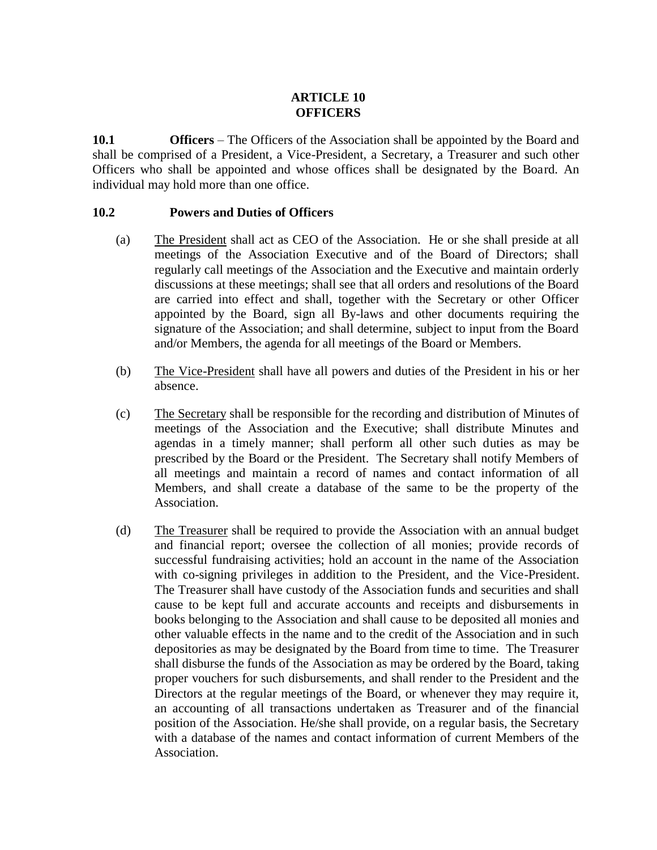# **ARTICLE 10 OFFICERS**

**10.1 Officers** – The Officers of the Association shall be appointed by the Board and shall be comprised of a President, a Vice-President, a Secretary, a Treasurer and such other Officers who shall be appointed and whose offices shall be designated by the Board. An individual may hold more than one office.

### **10.2 Powers and Duties of Officers**

- (a) The President shall act as CEO of the Association. He or she shall preside at all meetings of the Association Executive and of the Board of Directors; shall regularly call meetings of the Association and the Executive and maintain orderly discussions at these meetings; shall see that all orders and resolutions of the Board are carried into effect and shall, together with the Secretary or other Officer appointed by the Board, sign all By-laws and other documents requiring the signature of the Association; and shall determine, subject to input from the Board and/or Members, the agenda for all meetings of the Board or Members.
- (b) The Vice-President shall have all powers and duties of the President in his or her absence.
- (c) The Secretary shall be responsible for the recording and distribution of Minutes of meetings of the Association and the Executive; shall distribute Minutes and agendas in a timely manner; shall perform all other such duties as may be prescribed by the Board or the President. The Secretary shall notify Members of all meetings and maintain a record of names and contact information of all Members, and shall create a database of the same to be the property of the Association.
- (d) The Treasurer shall be required to provide the Association with an annual budget and financial report; oversee the collection of all monies; provide records of successful fundraising activities; hold an account in the name of the Association with co-signing privileges in addition to the President, and the Vice-President. The Treasurer shall have custody of the Association funds and securities and shall cause to be kept full and accurate accounts and receipts and disbursements in books belonging to the Association and shall cause to be deposited all monies and other valuable effects in the name and to the credit of the Association and in such depositories as may be designated by the Board from time to time. The Treasurer shall disburse the funds of the Association as may be ordered by the Board, taking proper vouchers for such disbursements, and shall render to the President and the Directors at the regular meetings of the Board, or whenever they may require it, an accounting of all transactions undertaken as Treasurer and of the financial position of the Association. He/she shall provide, on a regular basis, the Secretary with a database of the names and contact information of current Members of the Association.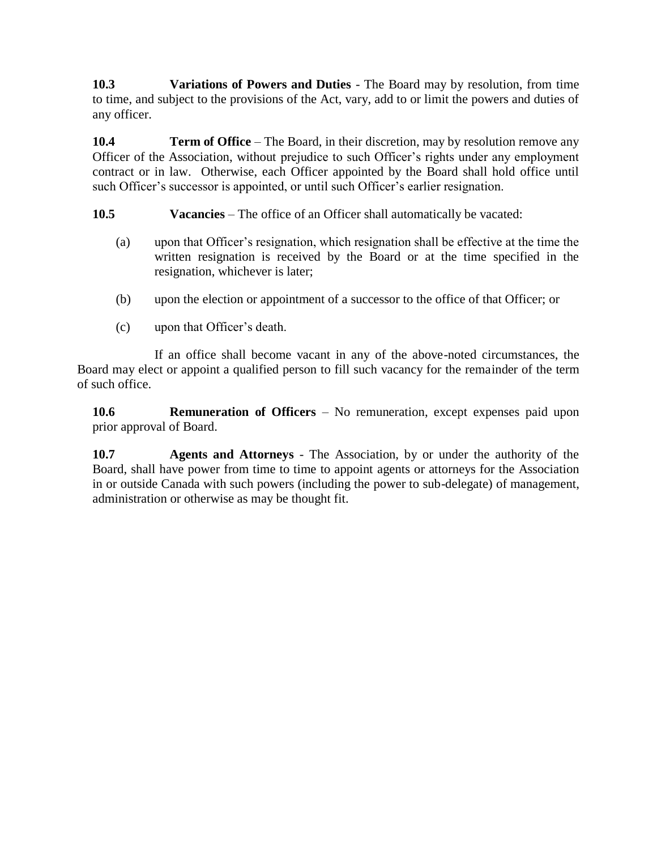**10.3 Variations of Powers and Duties** - The Board may by resolution, from time to time, and subject to the provisions of the Act, vary, add to or limit the powers and duties of any officer.

**10.4 Term of Office** – The Board, in their discretion, may by resolution remove any Officer of the Association, without prejudice to such Officer's rights under any employment contract or in law. Otherwise, each Officer appointed by the Board shall hold office until such Officer's successor is appointed, or until such Officer's earlier resignation.

**10.5 Vacancies** – The office of an Officer shall automatically be vacated:

- (a) upon that Officer's resignation, which resignation shall be effective at the time the written resignation is received by the Board or at the time specified in the resignation, whichever is later;
- (b) upon the election or appointment of a successor to the office of that Officer; or
- (c) upon that Officer's death.

If an office shall become vacant in any of the above-noted circumstances, the Board may elect or appoint a qualified person to fill such vacancy for the remainder of the term of such office.

**10.6 Remuneration of Officers** – No remuneration, except expenses paid upon prior approval of Board.

**10.7 Agents and Attorneys** - The Association, by or under the authority of the Board, shall have power from time to time to appoint agents or attorneys for the Association in or outside Canada with such powers (including the power to sub-delegate) of management, administration or otherwise as may be thought fit.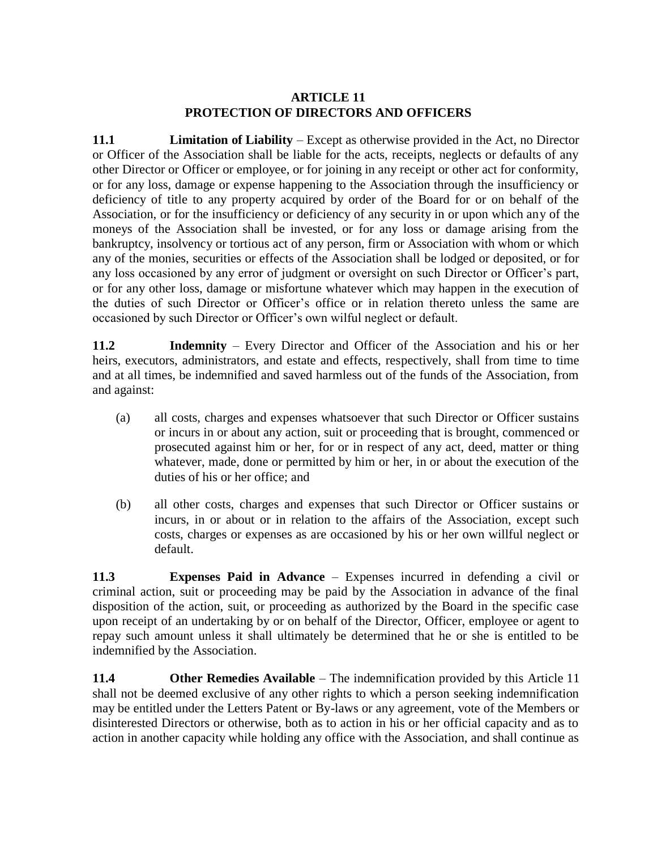### **ARTICLE 11 PROTECTION OF DIRECTORS AND OFFICERS**

<span id="page-18-0"></span>**11.1 Limitation of Liability** – Except as otherwise provided in the Act, no Director or Officer of the Association shall be liable for the acts, receipts, neglects or defaults of any other Director or Officer or employee, or for joining in any receipt or other act for conformity, or for any loss, damage or expense happening to the Association through the insufficiency or deficiency of title to any property acquired by order of the Board for or on behalf of the Association, or for the insufficiency or deficiency of any security in or upon which any of the moneys of the Association shall be invested, or for any loss or damage arising from the bankruptcy, insolvency or tortious act of any person, firm or Association with whom or which any of the monies, securities or effects of the Association shall be lodged or deposited, or for any loss occasioned by any error of judgment or oversight on such Director or Officer's part, or for any other loss, damage or misfortune whatever which may happen in the execution of the duties of such Director or Officer's office or in relation thereto unless the same are occasioned by such Director or Officer's own wilful neglect or default.

**11.2 Indemnity** – Every Director and Officer of the Association and his or her heirs, executors, administrators, and estate and effects, respectively, shall from time to time and at all times, be indemnified and saved harmless out of the funds of the Association, from and against:

- (a) all costs, charges and expenses whatsoever that such Director or Officer sustains or incurs in or about any action, suit or proceeding that is brought, commenced or prosecuted against him or her, for or in respect of any act, deed, matter or thing whatever, made, done or permitted by him or her, in or about the execution of the duties of his or her office; and
- (b) all other costs, charges and expenses that such Director or Officer sustains or incurs, in or about or in relation to the affairs of the Association, except such costs, charges or expenses as are occasioned by his or her own willful neglect or default.

**11.3 Expenses Paid in Advance** – Expenses incurred in defending a civil or criminal action, suit or proceeding may be paid by the Association in advance of the final disposition of the action, suit, or proceeding as authorized by the Board in the specific case upon receipt of an undertaking by or on behalf of the Director, Officer, employee or agent to repay such amount unless it shall ultimately be determined that he or she is entitled to be indemnified by the Association.

**11.4 Other Remedies Available** – The indemnification provided by this [Article](#page-18-0) 11 shall not be deemed exclusive of any other rights to which a person seeking indemnification may be entitled under the Letters Patent or By-laws or any agreement, vote of the Members or disinterested Directors or otherwise, both as to action in his or her official capacity and as to action in another capacity while holding any office with the Association, and shall continue as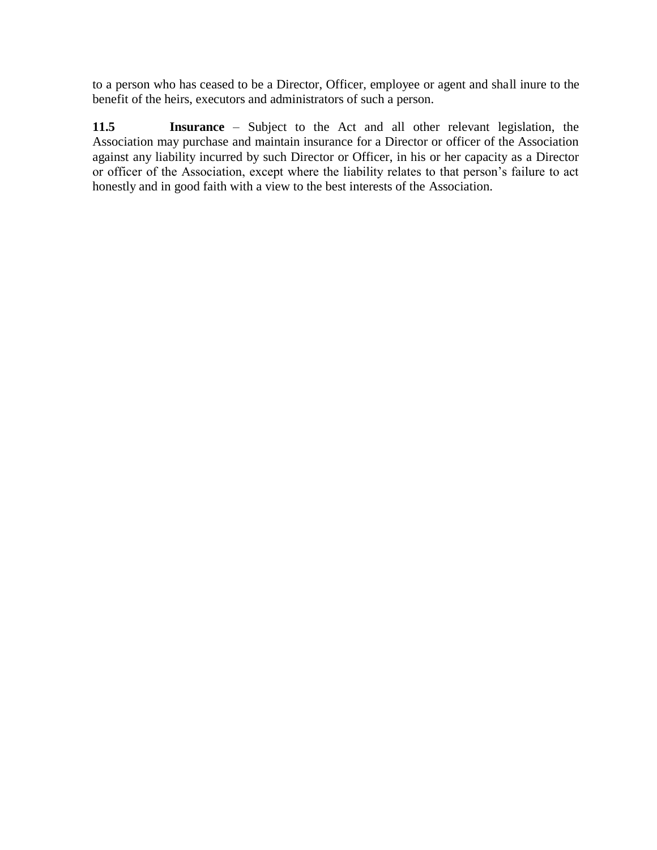to a person who has ceased to be a Director, Officer, employee or agent and shall inure to the benefit of the heirs, executors and administrators of such a person.

**11.5 Insurance** – Subject to the Act and all other relevant legislation, the Association may purchase and maintain insurance for a Director or officer of the Association against any liability incurred by such Director or Officer, in his or her capacity as a Director or officer of the Association, except where the liability relates to that person's failure to act honestly and in good faith with a view to the best interests of the Association.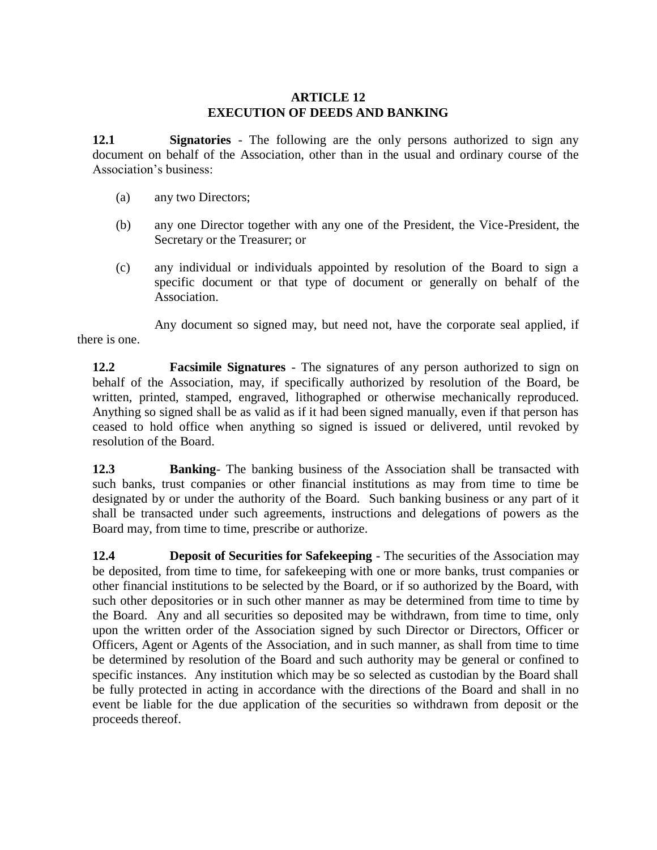### **ARTICLE 12 EXECUTION OF DEEDS AND BANKING**

**12.1 Signatories** - The following are the only persons authorized to sign any document on behalf of the Association, other than in the usual and ordinary course of the Association's business:

- (a) any two Directors;
- (b) any one Director together with any one of the President, the Vice-President, the Secretary or the Treasurer; or
- (c) any individual or individuals appointed by resolution of the Board to sign a specific document or that type of document or generally on behalf of the Association.

Any document so signed may, but need not, have the corporate seal applied, if there is one.

**12.2 Facsimile Signatures** - The signatures of any person authorized to sign on behalf of the Association, may, if specifically authorized by resolution of the Board, be written, printed, stamped, engraved, lithographed or otherwise mechanically reproduced. Anything so signed shall be as valid as if it had been signed manually, even if that person has ceased to hold office when anything so signed is issued or delivered, until revoked by resolution of the Board.

**12.3 Banking**- The banking business of the Association shall be transacted with such banks, trust companies or other financial institutions as may from time to time be designated by or under the authority of the Board. Such banking business or any part of it shall be transacted under such agreements, instructions and delegations of powers as the Board may, from time to time, prescribe or authorize.

**12.4 Deposit of Securities for Safekeeping** - The securities of the Association may be deposited, from time to time, for safekeeping with one or more banks, trust companies or other financial institutions to be selected by the Board, or if so authorized by the Board, with such other depositories or in such other manner as may be determined from time to time by the Board. Any and all securities so deposited may be withdrawn, from time to time, only upon the written order of the Association signed by such Director or Directors, Officer or Officers, Agent or Agents of the Association, and in such manner, as shall from time to time be determined by resolution of the Board and such authority may be general or confined to specific instances. Any institution which may be so selected as custodian by the Board shall be fully protected in acting in accordance with the directions of the Board and shall in no event be liable for the due application of the securities so withdrawn from deposit or the proceeds thereof.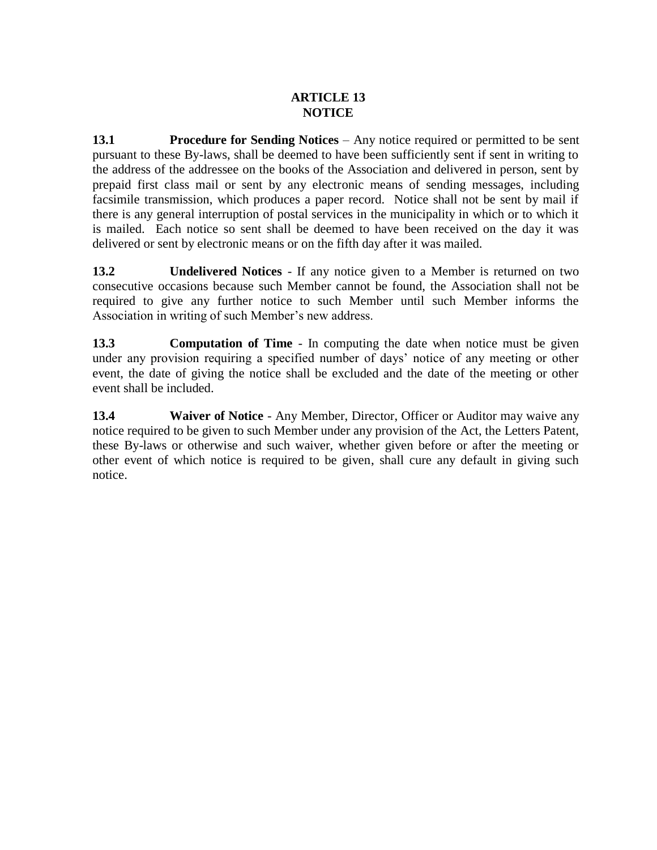# **ARTICLE 13 NOTICE**

**13.1 Procedure for Sending Notices** – Any notice required or permitted to be sent pursuant to these By-laws, shall be deemed to have been sufficiently sent if sent in writing to the address of the addressee on the books of the Association and delivered in person, sent by prepaid first class mail or sent by any electronic means of sending messages, including facsimile transmission, which produces a paper record. Notice shall not be sent by mail if there is any general interruption of postal services in the municipality in which or to which it is mailed. Each notice so sent shall be deemed to have been received on the day it was delivered or sent by electronic means or on the fifth day after it was mailed.

**13.2 Undelivered Notices** - If any notice given to a Member is returned on two consecutive occasions because such Member cannot be found, the Association shall not be required to give any further notice to such Member until such Member informs the Association in writing of such Member's new address.

**13.3 Computation of Time** - In computing the date when notice must be given under any provision requiring a specified number of days' notice of any meeting or other event, the date of giving the notice shall be excluded and the date of the meeting or other event shall be included.

**13.4 Waiver of Notice** - Any Member, Director, Officer or Auditor may waive any notice required to be given to such Member under any provision of the Act, the Letters Patent, these By-laws or otherwise and such waiver, whether given before or after the meeting or other event of which notice is required to be given, shall cure any default in giving such notice.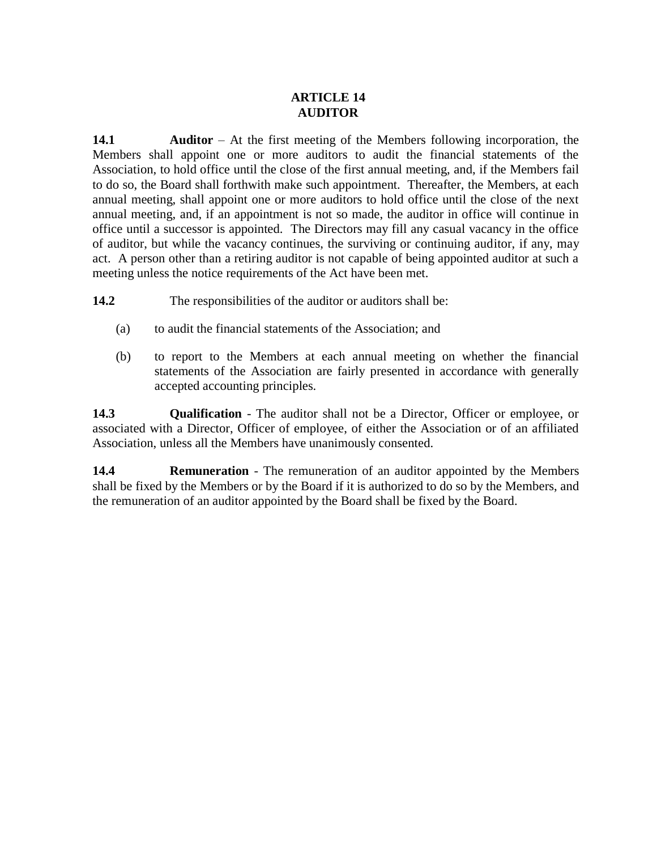# **ARTICLE 14 AUDITOR**

<span id="page-22-0"></span>**14.1 Auditor** – At the first meeting of the Members following incorporation, the Members shall appoint one or more auditors to audit the financial statements of the Association, to hold office until the close of the first annual meeting, and, if the Members fail to do so, the Board shall forthwith make such appointment. Thereafter, the Members, at each annual meeting, shall appoint one or more auditors to hold office until the close of the next annual meeting, and, if an appointment is not so made, the auditor in office will continue in office until a successor is appointed. The Directors may fill any casual vacancy in the office of auditor, but while the vacancy continues, the surviving or continuing auditor, if any, may act. A person other than a retiring auditor is not capable of being appointed auditor at such a meeting unless the notice requirements of the Act have been met.

**14.2** The responsibilities of the auditor or auditors shall be:

- (a) to audit the financial statements of the Association; and
- (b) to report to the Members at each annual meeting on whether the financial statements of the Association are fairly presented in accordance with generally accepted accounting principles.

**14.3 Qualification** - The auditor shall not be a Director, Officer or employee, or associated with a Director, Officer of employee, of either the Association or of an affiliated Association, unless all the Members have unanimously consented.

**14.4 Remuneration** - The remuneration of an auditor appointed by the Members shall be fixed by the Members or by the Board if it is authorized to do so by the Members, and the remuneration of an auditor appointed by the Board shall be fixed by the Board.